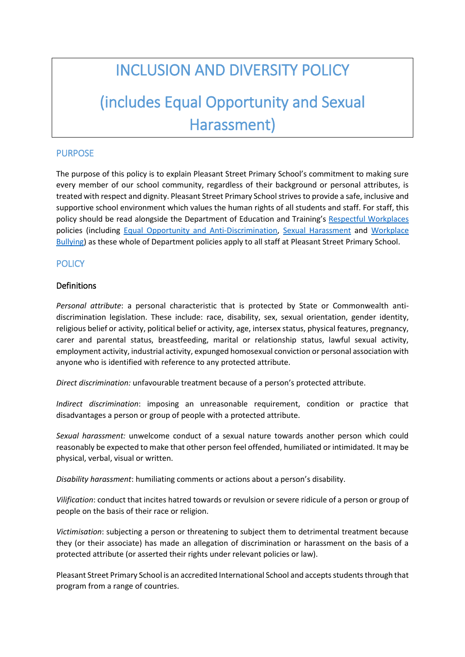# INCLUSION AND DIVERSITY POLICY

# (includes Equal Opportunity and Sexual Harassment)

### PURPOSE

The purpose of this policy is to explain Pleasant Street Primary School's commitment to making sure every member of our school community, regardless of their background or personal attributes, is treated with respect and dignity. Pleasant Street Primary Schoolstrives to provide a safe, inclusive and supportive school environment which values the human rights of all students and staff. For staff, this policy should be read alongside the Department of Education and Training's [Respectful Workplaces](https://www.education.vic.gov.au/hrweb/divequity/Pages/respect.aspx) policies (including [Equal Opportunity and Anti-Discrimination,](https://www.education.vic.gov.au/hrweb/divequity/Pages/default_eeo.aspx) [Sexual Harassment](https://www.education.vic.gov.au/hrweb/divequity/Pages/SexualHarassment.aspx) and [Workplace](https://www.education.vic.gov.au/hrweb/safetyhw/Pages/workplacebullying.aspx)  [Bullying\)](https://www.education.vic.gov.au/hrweb/safetyhw/Pages/workplacebullying.aspx) as these whole of Department policies apply to all staff at Pleasant Street Primary School.

#### **POLICY**

#### Definitions

*Personal attribute*: a personal characteristic that is protected by State or Commonwealth antidiscrimination legislation. These include: race, disability, sex, sexual orientation, gender identity, religious belief or activity, political belief or activity, age, intersex status, physical features, pregnancy, carer and parental status, breastfeeding, marital or relationship status, lawful sexual activity, employment activity, industrial activity, expunged homosexual conviction or personal association with anyone who is identified with reference to any protected attribute.

*Direct discrimination:* unfavourable treatment because of a person's protected attribute.

*Indirect discrimination*: imposing an unreasonable requirement, condition or practice that disadvantages a person or group of people with a protected attribute.

*Sexual harassment:* unwelcome conduct of a sexual nature towards another person which could reasonably be expected to make that other person feel offended, humiliated or intimidated. It may be physical, verbal, visual or written.

*Disability harassment*: humiliating comments or actions about a person's disability.

*Vilification*: conduct that incites hatred towards or revulsion or severe ridicule of a person or group of people on the basis of their race or religion.

*Victimisation*: subjecting a person or threatening to subject them to detrimental treatment because they (or their associate) has made an allegation of discrimination or harassment on the basis of a protected attribute (or asserted their rights under relevant policies or law).

Pleasant Street Primary School is an accredited International School and accepts students through that program from a range of countries.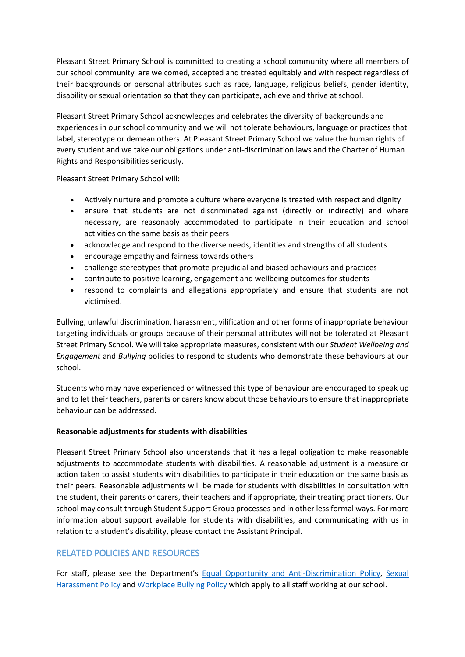Pleasant Street Primary School is committed to creating a school community where all members of our school community are welcomed, accepted and treated equitably and with respect regardless of their backgrounds or personal attributes such as race, language, religious beliefs, gender identity, disability or sexual orientation so that they can participate, achieve and thrive at school.

Pleasant Street Primary School acknowledges and celebrates the diversity of backgrounds and experiences in our school community and we will not tolerate behaviours, language or practices that label, stereotype or demean others. At Pleasant Street Primary School we value the human rights of every student and we take our obligations under anti-discrimination laws and the Charter of Human Rights and Responsibilities seriously.

Pleasant Street Primary School will:

- Actively nurture and promote a culture where everyone is treated with respect and dignity
- ensure that students are not discriminated against (directly or indirectly) and where necessary, are reasonably accommodated to participate in their education and school activities on the same basis as their peers
- acknowledge and respond to the diverse needs, identities and strengths of all students
- encourage empathy and fairness towards others
- challenge stereotypes that promote prejudicial and biased behaviours and practices
- contribute to positive learning, engagement and wellbeing outcomes for students
- respond to complaints and allegations appropriately and ensure that students are not victimised.

Bullying, unlawful discrimination, harassment, vilification and other forms of inappropriate behaviour targeting individuals or groups because of their personal attributes will not be tolerated at Pleasant Street Primary School. We will take appropriate measures, consistent with our *Student Wellbeing and Engagement* and *Bullying* policies to respond to students who demonstrate these behaviours at our school.

Students who may have experienced or witnessed this type of behaviour are encouraged to speak up and to let their teachers, parents or carers know about those behaviours to ensure that inappropriate behaviour can be addressed.

#### **Reasonable adjustments for students with disabilities**

Pleasant Street Primary School also understands that it has a legal obligation to make reasonable adjustments to accommodate students with disabilities. A reasonable adjustment is a measure or action taken to assist students with disabilities to participate in their education on the same basis as their peers. Reasonable adjustments will be made for students with disabilities in consultation with the student, their parents or carers, their teachers and if appropriate, their treating practitioners. Our school may consult through Student Support Group processes and in other less formal ways. For more information about support available for students with disabilities, and communicating with us in relation to a student's disability, please contact the Assistant Principal.

## RELATED POLICIES AND RESOURCES

For staff, please see the Department's [Equal Opportunity and Anti-Discrimination Policy,](https://www.education.vic.gov.au/hrweb/divequity/Pages/default_eeo.aspx) [Sexual](https://www.education.vic.gov.au/hrweb/divequity/Pages/SexualHarassment.aspx)  [Harassment Policy](https://www.education.vic.gov.au/hrweb/divequity/Pages/SexualHarassment.aspx) and [Workplace Bullying Policy](https://www.education.vic.gov.au/hrweb/safetyhw/Pages/workplacebullying.aspx) which apply to all staff working at our school.